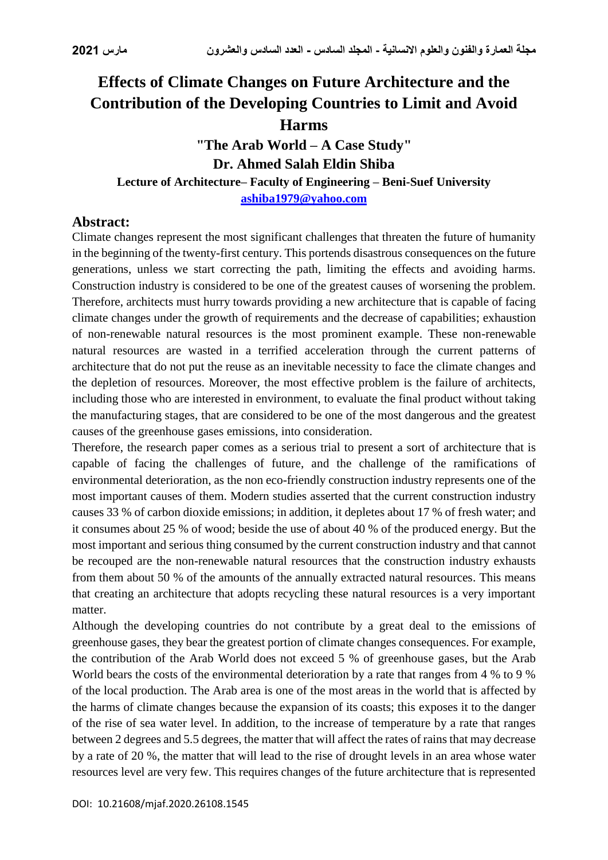# **Effects of Climate Changes on Future Architecture and the Contribution of the Developing Countries to Limit and Avoid Harms**

**"The Arab World – A Case Study" Dr. Ahmed Salah Eldin Shiba Lecture of Architecture– Faculty of Engineering – Beni-Suef University [ashiba1979@yahoo.com](mailto:ashiba1979@yahoo.com)**

# **Abstract:**

Climate changes represent the most significant challenges that threaten the future of humanity in the beginning of the twenty-first century. This portends disastrous consequences on the future generations, unless we start correcting the path, limiting the effects and avoiding harms. Construction industry is considered to be one of the greatest causes of worsening the problem. Therefore, architects must hurry towards providing a new architecture that is capable of facing climate changes under the growth of requirements and the decrease of capabilities; exhaustion of non-renewable natural resources is the most prominent example. These non-renewable natural resources are wasted in a terrified acceleration through the current patterns of architecture that do not put the reuse as an inevitable necessity to face the climate changes and the depletion of resources. Moreover, the most effective problem is the failure of architects, including those who are interested in environment, to evaluate the final product without taking the manufacturing stages, that are considered to be one of the most dangerous and the greatest causes of the greenhouse gases emissions, into consideration.

Therefore, the research paper comes as a serious trial to present a sort of architecture that is capable of facing the challenges of future, and the challenge of the ramifications of environmental deterioration, as the non eco-friendly construction industry represents one of the most important causes of them. Modern studies asserted that the current construction industry causes 33 % of carbon dioxide emissions; in addition, it depletes about 17 % of fresh water; and it consumes about 25 % of wood; beside the use of about 40 % of the produced energy. But the most important and serious thing consumed by the current construction industry and that cannot be recouped are the non-renewable natural resources that the construction industry exhausts from them about 50 % of the amounts of the annually extracted natural resources. This means that creating an architecture that adopts recycling these natural resources is a very important matter.

Although the developing countries do not contribute by a great deal to the emissions of greenhouse gases, they bear the greatest portion of climate changes consequences. For example, the contribution of the Arab World does not exceed 5 % of greenhouse gases, but the Arab World bears the costs of the environmental deterioration by a rate that ranges from 4 % to 9 % of the local production. The Arab area is one of the most areas in the world that is affected by the harms of climate changes because the expansion of its coasts; this exposes it to the danger of the rise of sea water level. In addition, to the increase of temperature by a rate that ranges between 2 degrees and 5.5 degrees, the matter that will affect the rates of rains that may decrease by a rate of 20 %, the matter that will lead to the rise of drought levels in an area whose water resources level are very few. This requires changes of the future architecture that is represented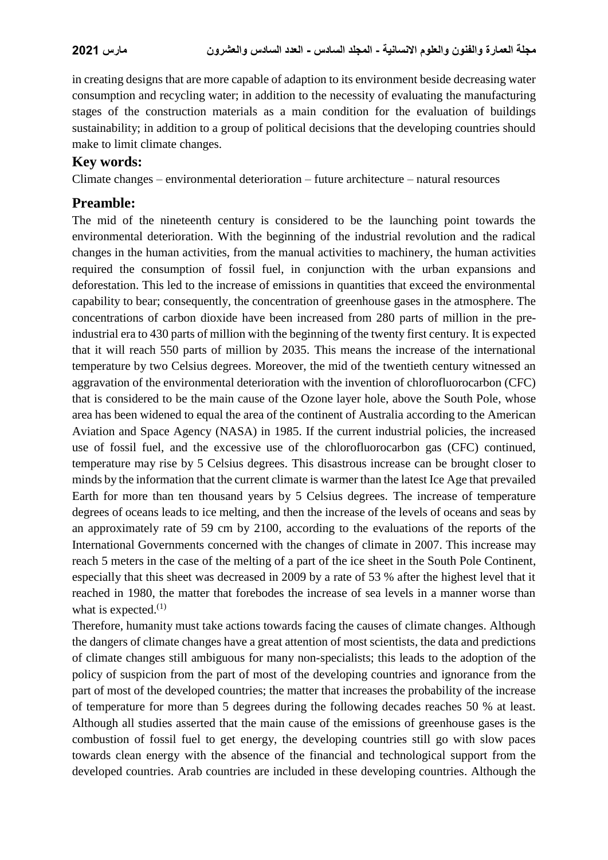in creating designs that are more capable of adaption to its environment beside decreasing water consumption and recycling water; in addition to the necessity of evaluating the manufacturing stages of the construction materials as a main condition for the evaluation of buildings sustainability; in addition to a group of political decisions that the developing countries should make to limit climate changes.

### **Key words:**

Climate changes – environmental deterioration – future architecture – natural resources

# **Preamble:**

The mid of the nineteenth century is considered to be the launching point towards the environmental deterioration. With the beginning of the industrial revolution and the radical changes in the human activities, from the manual activities to machinery, the human activities required the consumption of fossil fuel, in conjunction with the urban expansions and deforestation. This led to the increase of emissions in quantities that exceed the environmental capability to bear; consequently, the concentration of greenhouse gases in the atmosphere. The concentrations of carbon dioxide have been increased from 280 parts of million in the preindustrial era to 430 parts of million with the beginning of the twenty first century. It is expected that it will reach 550 parts of million by 2035. This means the increase of the international temperature by two Celsius degrees. Moreover, the mid of the twentieth century witnessed an aggravation of the environmental deterioration with the invention of chlorofluorocarbon (CFC) that is considered to be the main cause of the Ozone layer hole, above the South Pole, whose area has been widened to equal the area of the continent of Australia according to the American Aviation and Space Agency (NASA) in 1985. If the current industrial policies, the increased use of fossil fuel, and the excessive use of the chlorofluorocarbon gas (CFC) continued, temperature may rise by 5 Celsius degrees. This disastrous increase can be brought closer to minds by the information that the current climate is warmer than the latest Ice Age that prevailed Earth for more than ten thousand years by 5 Celsius degrees. The increase of temperature degrees of oceans leads to ice melting, and then the increase of the levels of oceans and seas by an approximately rate of 59 cm by 2100, according to the evaluations of the reports of the International Governments concerned with the changes of climate in 2007. This increase may reach 5 meters in the case of the melting of a part of the ice sheet in the South Pole Continent, especially that this sheet was decreased in 2009 by a rate of 53 % after the highest level that it reached in 1980, the matter that forebodes the increase of sea levels in a manner worse than what is expected. $(1)$ 

Therefore, humanity must take actions towards facing the causes of climate changes. Although the dangers of climate changes have a great attention of most scientists, the data and predictions of climate changes still ambiguous for many non-specialists; this leads to the adoption of the policy of suspicion from the part of most of the developing countries and ignorance from the part of most of the developed countries; the matter that increases the probability of the increase of temperature for more than 5 degrees during the following decades reaches 50 % at least. Although all studies asserted that the main cause of the emissions of greenhouse gases is the combustion of fossil fuel to get energy, the developing countries still go with slow paces towards clean energy with the absence of the financial and technological support from the developed countries. Arab countries are included in these developing countries. Although the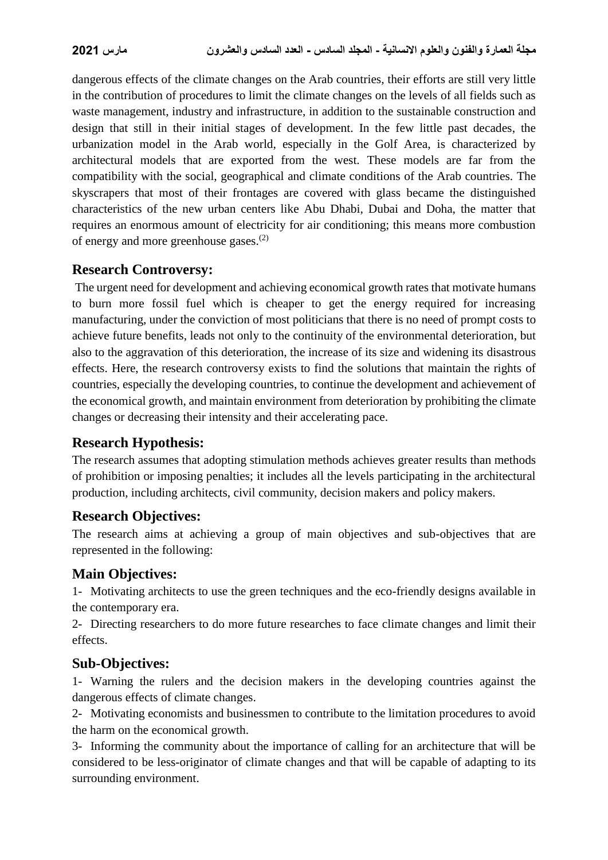dangerous effects of the climate changes on the Arab countries, their efforts are still very little in the contribution of procedures to limit the climate changes on the levels of all fields such as waste management, industry and infrastructure, in addition to the sustainable construction and design that still in their initial stages of development. In the few little past decades, the urbanization model in the Arab world, especially in the Golf Area, is characterized by architectural models that are exported from the west. These models are far from the compatibility with the social, geographical and climate conditions of the Arab countries. The skyscrapers that most of their frontages are covered with glass became the distinguished characteristics of the new urban centers like Abu Dhabi, Dubai and Doha, the matter that requires an enormous amount of electricity for air conditioning; this means more combustion of energy and more greenhouse gases.(2)

### **Research Controversy:**

The urgent need for development and achieving economical growth rates that motivate humans to burn more fossil fuel which is cheaper to get the energy required for increasing manufacturing, under the conviction of most politicians that there is no need of prompt costs to achieve future benefits, leads not only to the continuity of the environmental deterioration, but also to the aggravation of this deterioration, the increase of its size and widening its disastrous effects. Here, the research controversy exists to find the solutions that maintain the rights of countries, especially the developing countries, to continue the development and achievement of the economical growth, and maintain environment from deterioration by prohibiting the climate changes or decreasing their intensity and their accelerating pace.

### **Research Hypothesis:**

The research assumes that adopting stimulation methods achieves greater results than methods of prohibition or imposing penalties; it includes all the levels participating in the architectural production, including architects, civil community, decision makers and policy makers.

### **Research Objectives:**

The research aims at achieving a group of main objectives and sub-objectives that are represented in the following:

### **Main Objectives:**

1- Motivating architects to use the green techniques and the eco-friendly designs available in the contemporary era.

2- Directing researchers to do more future researches to face climate changes and limit their effects.

### **Sub-Objectives:**

1- Warning the rulers and the decision makers in the developing countries against the dangerous effects of climate changes.

2- Motivating economists and businessmen to contribute to the limitation procedures to avoid the harm on the economical growth.

3- Informing the community about the importance of calling for an architecture that will be considered to be less-originator of climate changes and that will be capable of adapting to its surrounding environment.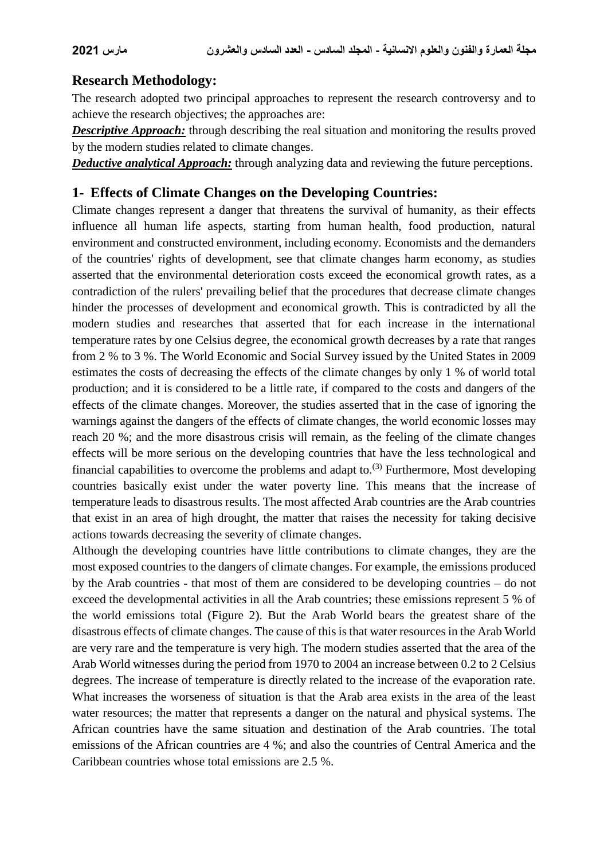# **Research Methodology:**

The research adopted two principal approaches to represent the research controversy and to achieve the research objectives; the approaches are:

*Descriptive Approach:* through describing the real situation and monitoring the results proved by the modern studies related to climate changes.

*Deductive analytical Approach:* through analyzing data and reviewing the future perceptions.

# **1- Effects of Climate Changes on the Developing Countries:**

Climate changes represent a danger that threatens the survival of humanity, as their effects influence all human life aspects, starting from human health, food production, natural environment and constructed environment, including economy. Economists and the demanders of the countries' rights of development, see that climate changes harm economy, as studies asserted that the environmental deterioration costs exceed the economical growth rates, as a contradiction of the rulers' prevailing belief that the procedures that decrease climate changes hinder the processes of development and economical growth. This is contradicted by all the modern studies and researches that asserted that for each increase in the international temperature rates by one Celsius degree, the economical growth decreases by a rate that ranges from 2 % to 3 %. The World Economic and Social Survey issued by the United States in 2009 estimates the costs of decreasing the effects of the climate changes by only 1 % of world total production; and it is considered to be a little rate, if compared to the costs and dangers of the effects of the climate changes. Moreover, the studies asserted that in the case of ignoring the warnings against the dangers of the effects of climate changes, the world economic losses may reach 20 %; and the more disastrous crisis will remain, as the feeling of the climate changes effects will be more serious on the developing countries that have the less technological and financial capabilities to overcome the problems and adapt to.<sup>(3)</sup> Furthermore, Most developing countries basically exist under the water poverty line. This means that the increase of temperature leads to disastrous results. The most affected Arab countries are the Arab countries that exist in an area of high drought, the matter that raises the necessity for taking decisive actions towards decreasing the severity of climate changes.

Although the developing countries have little contributions to climate changes, they are the most exposed countries to the dangers of climate changes. For example, the emissions produced by the Arab countries - that most of them are considered to be developing countries – do not exceed the developmental activities in all the Arab countries; these emissions represent 5 % of the world emissions total (Figure 2). But the Arab World bears the greatest share of the disastrous effects of climate changes. The cause of this is that water resources in the Arab World are very rare and the temperature is very high. The modern studies asserted that the area of the Arab World witnesses during the period from 1970 to 2004 an increase between 0.2 to 2 Celsius degrees. The increase of temperature is directly related to the increase of the evaporation rate. What increases the worseness of situation is that the Arab area exists in the area of the least water resources; the matter that represents a danger on the natural and physical systems. The African countries have the same situation and destination of the Arab countries. The total emissions of the African countries are 4 %; and also the countries of Central America and the Caribbean countries whose total emissions are 2.5 %.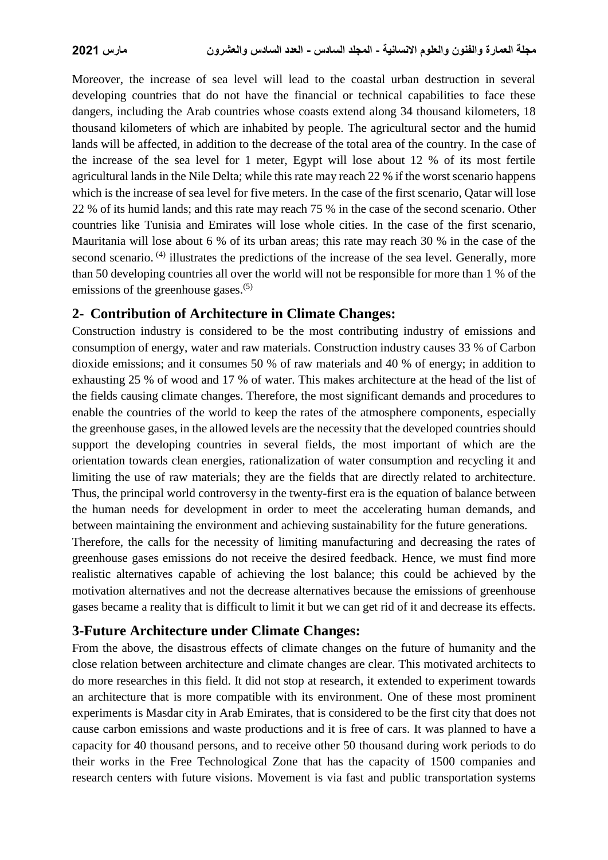Moreover, the increase of sea level will lead to the coastal urban destruction in several developing countries that do not have the financial or technical capabilities to face these dangers, including the Arab countries whose coasts extend along 34 thousand kilometers, 18 thousand kilometers of which are inhabited by people. The agricultural sector and the humid lands will be affected, in addition to the decrease of the total area of the country. In the case of the increase of the sea level for 1 meter, Egypt will lose about 12 % of its most fertile agricultural lands in the Nile Delta; while this rate may reach 22 % if the worst scenario happens which is the increase of sea level for five meters. In the case of the first scenario, Qatar will lose 22 % of its humid lands; and this rate may reach 75 % in the case of the second scenario. Other countries like Tunisia and Emirates will lose whole cities. In the case of the first scenario, Mauritania will lose about 6 % of its urban areas; this rate may reach 30 % in the case of the second scenario.<sup>(4)</sup> illustrates the predictions of the increase of the sea level. Generally, more than 50 developing countries all over the world will not be responsible for more than 1 % of the emissions of the greenhouse gases.<sup>(5)</sup>

# **2- Contribution of Architecture in Climate Changes:**

Construction industry is considered to be the most contributing industry of emissions and consumption of energy, water and raw materials. Construction industry causes 33 % of Carbon dioxide emissions; and it consumes 50 % of raw materials and 40 % of energy; in addition to exhausting 25 % of wood and 17 % of water. This makes architecture at the head of the list of the fields causing climate changes. Therefore, the most significant demands and procedures to enable the countries of the world to keep the rates of the atmosphere components, especially the greenhouse gases, in the allowed levels are the necessity that the developed countries should support the developing countries in several fields, the most important of which are the orientation towards clean energies, rationalization of water consumption and recycling it and limiting the use of raw materials; they are the fields that are directly related to architecture. Thus, the principal world controversy in the twenty-first era is the equation of balance between the human needs for development in order to meet the accelerating human demands, and between maintaining the environment and achieving sustainability for the future generations.

Therefore, the calls for the necessity of limiting manufacturing and decreasing the rates of greenhouse gases emissions do not receive the desired feedback. Hence, we must find more realistic alternatives capable of achieving the lost balance; this could be achieved by the motivation alternatives and not the decrease alternatives because the emissions of greenhouse gases became a reality that is difficult to limit it but we can get rid of it and decrease its effects.

# **3-Future Architecture under Climate Changes:**

From the above, the disastrous effects of climate changes on the future of humanity and the close relation between architecture and climate changes are clear. This motivated architects to do more researches in this field. It did not stop at research, it extended to experiment towards an architecture that is more compatible with its environment. One of these most prominent experiments is Masdar city in Arab Emirates, that is considered to be the first city that does not cause carbon emissions and waste productions and it is free of cars. It was planned to have a capacity for 40 thousand persons, and to receive other 50 thousand during work periods to do their works in the Free Technological Zone that has the capacity of 1500 companies and research centers with future visions. Movement is via fast and public transportation systems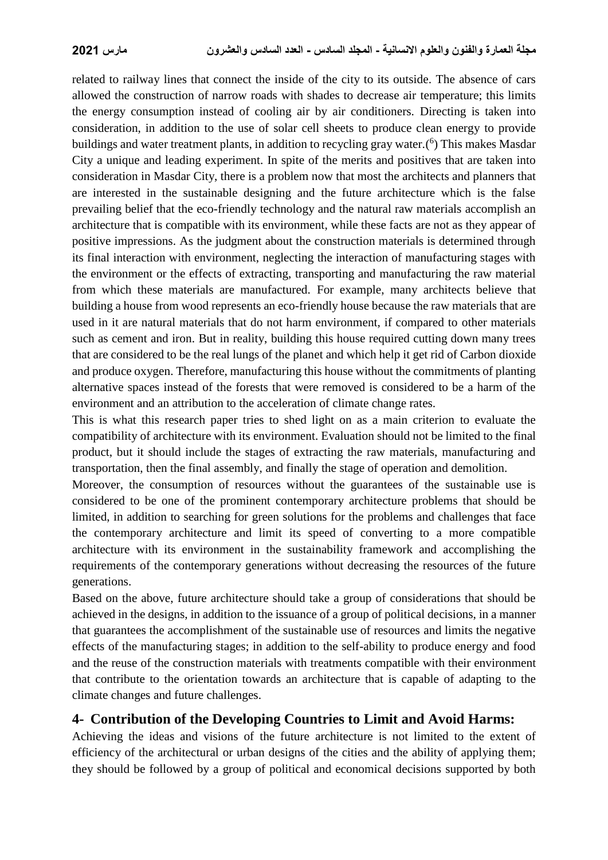related to railway lines that connect the inside of the city to its outside. The absence of cars allowed the construction of narrow roads with shades to decrease air temperature; this limits the energy consumption instead of cooling air by air conditioners. Directing is taken into consideration, in addition to the use of solar cell sheets to produce clean energy to provide buildings and water treatment plants, in addition to recycling gray water.<sup>(6</sup>) This makes Masdar City a unique and leading experiment. In spite of the merits and positives that are taken into consideration in Masdar City, there is a problem now that most the architects and planners that are interested in the sustainable designing and the future architecture which is the false prevailing belief that the eco-friendly technology and the natural raw materials accomplish an architecture that is compatible with its environment, while these facts are not as they appear of positive impressions. As the judgment about the construction materials is determined through its final interaction with environment, neglecting the interaction of manufacturing stages with the environment or the effects of extracting, transporting and manufacturing the raw material from which these materials are manufactured. For example, many architects believe that building a house from wood represents an eco-friendly house because the raw materials that are used in it are natural materials that do not harm environment, if compared to other materials such as cement and iron. But in reality, building this house required cutting down many trees that are considered to be the real lungs of the planet and which help it get rid of Carbon dioxide and produce oxygen. Therefore, manufacturing this house without the commitments of planting alternative spaces instead of the forests that were removed is considered to be a harm of the environment and an attribution to the acceleration of climate change rates.

This is what this research paper tries to shed light on as a main criterion to evaluate the compatibility of architecture with its environment. Evaluation should not be limited to the final product, but it should include the stages of extracting the raw materials, manufacturing and transportation, then the final assembly, and finally the stage of operation and demolition.

Moreover, the consumption of resources without the guarantees of the sustainable use is considered to be one of the prominent contemporary architecture problems that should be limited, in addition to searching for green solutions for the problems and challenges that face the contemporary architecture and limit its speed of converting to a more compatible architecture with its environment in the sustainability framework and accomplishing the requirements of the contemporary generations without decreasing the resources of the future generations.

Based on the above, future architecture should take a group of considerations that should be achieved in the designs, in addition to the issuance of a group of political decisions, in a manner that guarantees the accomplishment of the sustainable use of resources and limits the negative effects of the manufacturing stages; in addition to the self-ability to produce energy and food and the reuse of the construction materials with treatments compatible with their environment that contribute to the orientation towards an architecture that is capable of adapting to the climate changes and future challenges.

# **4- Contribution of the Developing Countries to Limit and Avoid Harms:**

Achieving the ideas and visions of the future architecture is not limited to the extent of efficiency of the architectural or urban designs of the cities and the ability of applying them; they should be followed by a group of political and economical decisions supported by both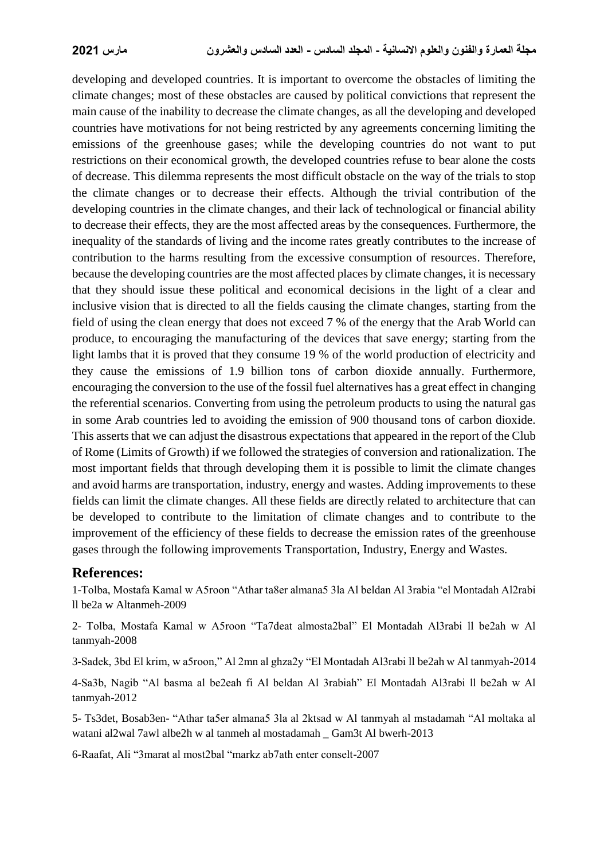developing and developed countries. It is important to overcome the obstacles of limiting the climate changes; most of these obstacles are caused by political convictions that represent the main cause of the inability to decrease the climate changes, as all the developing and developed countries have motivations for not being restricted by any agreements concerning limiting the emissions of the greenhouse gases; while the developing countries do not want to put restrictions on their economical growth, the developed countries refuse to bear alone the costs of decrease. This dilemma represents the most difficult obstacle on the way of the trials to stop the climate changes or to decrease their effects. Although the trivial contribution of the developing countries in the climate changes, and their lack of technological or financial ability to decrease their effects, they are the most affected areas by the consequences. Furthermore, the inequality of the standards of living and the income rates greatly contributes to the increase of contribution to the harms resulting from the excessive consumption of resources. Therefore, because the developing countries are the most affected places by climate changes, it is necessary that they should issue these political and economical decisions in the light of a clear and inclusive vision that is directed to all the fields causing the climate changes, starting from the field of using the clean energy that does not exceed 7 % of the energy that the Arab World can produce, to encouraging the manufacturing of the devices that save energy; starting from the light lambs that it is proved that they consume 19 % of the world production of electricity and they cause the emissions of 1.9 billion tons of carbon dioxide annually. Furthermore, encouraging the conversion to the use of the fossil fuel alternatives has a great effect in changing the referential scenarios. Converting from using the petroleum products to using the natural gas in some Arab countries led to avoiding the emission of 900 thousand tons of carbon dioxide. This asserts that we can adjust the disastrous expectations that appeared in the report of the Club of Rome (Limits of Growth) if we followed the strategies of conversion and rationalization. The most important fields that through developing them it is possible to limit the climate changes and avoid harms are transportation, industry, energy and wastes. Adding improvements to these fields can limit the climate changes. All these fields are directly related to architecture that can be developed to contribute to the limitation of climate changes and to contribute to the improvement of the efficiency of these fields to decrease the emission rates of the greenhouse gases through the following improvements Transportation, Industry, Energy and Wastes.

#### **References:**

1-Tolba, Mostafa Kamal w A5roon "Athar ta8er almana5 3la Al beldan Al 3rabia "el Montadah Al2rabi ll be2a w Altanmeh-2009

2- Tolba, Mostafa Kamal w A5roon "Ta7deat almosta2bal" El Montadah Al3rabi ll be2ah w Al tanmyah-2008

3-Sadek, 3bd El krim, w a5roon," Al 2mn al ghza2y "El Montadah Al3rabi ll be2ah w Al tanmyah-2014

4-Sa3b, Nagib "Al basma al be2eah fi Al beldan Al 3rabiah" El Montadah Al3rabi ll be2ah w Al tanmyah-2012

5- Ts3det, Bosab3en- "Athar ta5er almana5 3la al 2ktsad w Al tanmyah al mstadamah "Al moltaka al watani al2wal 7awl albe2h w al tanmeh al mostadamah \_ Gam3t Al bwerh-2013

6-Raafat, Ali "3marat al most2bal "markz ab7ath enter conselt-2007